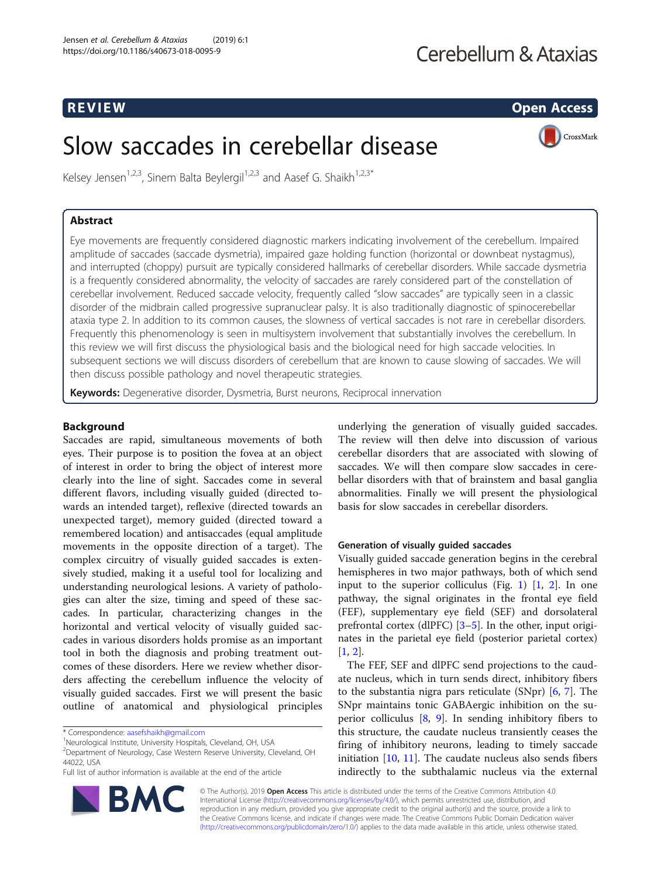## Cerebellum & Ataxias

R EVI EW Open Access

# Slow saccades in cerebellar disease



Kelsey Jensen<sup>1,2,3</sup>, Sinem Balta Beylergil<sup>1,2,3</sup> and Aasef G. Shaikh<sup>1,2,3\*</sup>

### Abstract

Eye movements are frequently considered diagnostic markers indicating involvement of the cerebellum. Impaired amplitude of saccades (saccade dysmetria), impaired gaze holding function (horizontal or downbeat nystagmus), and interrupted (choppy) pursuit are typically considered hallmarks of cerebellar disorders. While saccade dysmetria is a frequently considered abnormality, the velocity of saccades are rarely considered part of the constellation of cerebellar involvement. Reduced saccade velocity, frequently called "slow saccades" are typically seen in a classic disorder of the midbrain called progressive supranuclear palsy. It is also traditionally diagnostic of spinocerebellar ataxia type 2. In addition to its common causes, the slowness of vertical saccades is not rare in cerebellar disorders. Frequently this phenomenology is seen in multisystem involvement that substantially involves the cerebellum. In this review we will first discuss the physiological basis and the biological need for high saccade velocities. In subsequent sections we will discuss disorders of cerebellum that are known to cause slowing of saccades. We will then discuss possible pathology and novel therapeutic strategies.

Keywords: Degenerative disorder, Dysmetria, Burst neurons, Reciprocal innervation

#### Background

Saccades are rapid, simultaneous movements of both eyes. Their purpose is to position the fovea at an object of interest in order to bring the object of interest more clearly into the line of sight. Saccades come in several different flavors, including visually guided (directed towards an intended target), reflexive (directed towards an unexpected target), memory guided (directed toward a remembered location) and antisaccades (equal amplitude movements in the opposite direction of a target). The complex circuitry of visually guided saccades is extensively studied, making it a useful tool for localizing and understanding neurological lesions. A variety of pathologies can alter the size, timing and speed of these saccades. In particular, characterizing changes in the horizontal and vertical velocity of visually guided saccades in various disorders holds promise as an important tool in both the diagnosis and probing treatment outcomes of these disorders. Here we review whether disorders affecting the cerebellum influence the velocity of visually guided saccades. First we will present the basic outline of anatomical and physiological principles



#### Generation of visually guided saccades

Visually guided saccade generation begins in the cerebral hemispheres in two major pathways, both of which send input to the superior colliculus (Fig. [1\)](#page-1-0)  $[1, 2]$  $[1, 2]$  $[1, 2]$  $[1, 2]$ . In one pathway, the signal originates in the frontal eye field (FEF), supplementary eye field (SEF) and dorsolateral prefrontal cortex (dlPFC)  $[3-5]$  $[3-5]$  $[3-5]$  $[3-5]$ . In the other, input originates in the parietal eye field (posterior parietal cortex) [[1,](#page-6-0) [2\]](#page-6-0).

The FEF, SEF and dlPFC send projections to the caudate nucleus, which in turn sends direct, inhibitory fibers to the substantia nigra pars reticulate (SNpr) [\[6](#page-6-0), [7\]](#page-6-0). The SNpr maintains tonic GABAergic inhibition on the superior colliculus [[8,](#page-6-0) [9\]](#page-6-0). In sending inhibitory fibers to this structure, the caudate nucleus transiently ceases the firing of inhibitory neurons, leading to timely saccade initiation [\[10](#page-6-0), [11](#page-6-0)]. The caudate nucleus also sends fibers indirectly to the subthalamic nucleus via the external

© The Author(s). 2019 Open Access This article is distributed under the terms of the Creative Commons Attribution 4.0 International License [\(http://creativecommons.org/licenses/by/4.0/](http://creativecommons.org/licenses/by/4.0/)), which permits unrestricted use, distribution, and reproduction in any medium, provided you give appropriate credit to the original author(s) and the source, provide a link to the Creative Commons license, and indicate if changes were made. The Creative Commons Public Domain Dedication waiver [\(http://creativecommons.org/publicdomain/zero/1.0/](http://creativecommons.org/publicdomain/zero/1.0/)) applies to the data made available in this article, unless otherwise stated.



<sup>\*</sup> Correspondence: [aasefshaikh@gmail.com](mailto:aasefshaikh@gmail.com) <sup>1</sup>

<sup>&</sup>lt;sup>1</sup>Neurological Institute, University Hospitals, Cleveland, OH, USA

<sup>&</sup>lt;sup>2</sup>Department of Neurology, Case Western Reserve University, Cleveland, OH 44022, USA

Full list of author information is available at the end of the article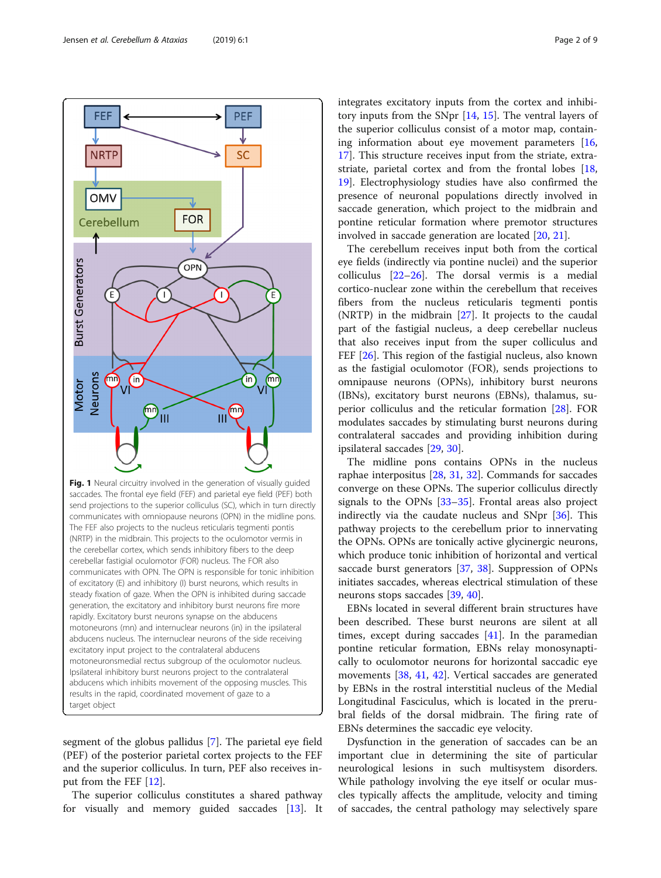<span id="page-1-0"></span>

Fig. 1 Neural circuitry involved in the generation of visually quided saccades. The frontal eye field (FEF) and parietal eye field (PEF) both send projections to the superior colliculus (SC), which in turn directly communicates with omniopause neurons (OPN) in the midline pons. The FEF also projects to the nucleus reticularis tegmenti pontis (NRTP) in the midbrain. This projects to the oculomotor vermis in the cerebellar cortex, which sends inhibitory fibers to the deep cerebellar fastigial oculomotor (FOR) nucleus. The FOR also communicates with OPN. The OPN is responsible for tonic inhibition of excitatory (E) and inhibitory (I) burst neurons, which results in steady fixation of gaze. When the OPN is inhibited during saccade generation, the excitatory and inhibitory burst neurons fire more rapidly. Excitatory burst neurons synapse on the abducens motoneurons (mn) and internuclear neurons (in) in the ipsilateral abducens nucleus. The internuclear neurons of the side receiving excitatory input project to the contralateral abducens motoneuronsmedial rectus subgroup of the oculomotor nucleus. Ipsilateral inhibitory burst neurons project to the contralateral abducens which inhibits movement of the opposing muscles. This results in the rapid, coordinated movement of gaze to a target object

segment of the globus pallidus [[7\]](#page-6-0). The parietal eye field (PEF) of the posterior parietal cortex projects to the FEF and the superior colliculus. In turn, PEF also receives input from the FEF [[12\]](#page-6-0).

The superior colliculus constitutes a shared pathway for visually and memory guided saccades [[13\]](#page-6-0). It integrates excitatory inputs from the cortex and inhibitory inputs from the SNpr [[14,](#page-6-0) [15\]](#page-6-0). The ventral layers of the superior colliculus consist of a motor map, containing information about eye movement parameters  $[16,$  $[16,$  $[16,$ [17\]](#page-6-0). This structure receives input from the striate, extrastriate, parietal cortex and from the frontal lobes [[18](#page-6-0), [19\]](#page-6-0). Electrophysiology studies have also confirmed the presence of neuronal populations directly involved in saccade generation, which project to the midbrain and pontine reticular formation where premotor structures involved in saccade generation are located [[20,](#page-6-0) [21](#page-6-0)].

The cerebellum receives input both from the cortical eye fields (indirectly via pontine nuclei) and the superior colliculus [\[22](#page-6-0)–[26\]](#page-6-0). The dorsal vermis is a medial cortico-nuclear zone within the cerebellum that receives fibers from the nucleus reticularis tegmenti pontis (NRTP) in the midbrain [\[27\]](#page-6-0). It projects to the caudal part of the fastigial nucleus, a deep cerebellar nucleus that also receives input from the super colliculus and FEF [[26](#page-6-0)]. This region of the fastigial nucleus, also known as the fastigial oculomotor (FOR), sends projections to omnipause neurons (OPNs), inhibitory burst neurons (IBNs), excitatory burst neurons (EBNs), thalamus, superior colliculus and the reticular formation [\[28](#page-6-0)]. FOR modulates saccades by stimulating burst neurons during contralateral saccades and providing inhibition during ipsilateral saccades [[29,](#page-6-0) [30\]](#page-6-0).

The midline pons contains OPNs in the nucleus raphae interpositus [[28,](#page-6-0) [31](#page-6-0), [32](#page-6-0)]. Commands for saccades converge on these OPNs. The superior colliculus directly signals to the OPNs [[33](#page-7-0)–[35](#page-7-0)]. Frontal areas also project indirectly via the caudate nucleus and SNpr [[36\]](#page-7-0). This pathway projects to the cerebellum prior to innervating the OPNs. OPNs are tonically active glycinergic neurons, which produce tonic inhibition of horizontal and vertical saccade burst generators [\[37](#page-7-0), [38\]](#page-7-0). Suppression of OPNs initiates saccades, whereas electrical stimulation of these neurons stops saccades [[39,](#page-7-0) [40](#page-7-0)].

EBNs located in several different brain structures have been described. These burst neurons are silent at all times, except during saccades [[41](#page-7-0)]. In the paramedian pontine reticular formation, EBNs relay monosynaptically to oculomotor neurons for horizontal saccadic eye movements [[38,](#page-7-0) [41](#page-7-0), [42\]](#page-7-0). Vertical saccades are generated by EBNs in the rostral interstitial nucleus of the Medial Longitudinal Fasciculus, which is located in the prerubral fields of the dorsal midbrain. The firing rate of EBNs determines the saccadic eye velocity.

Dysfunction in the generation of saccades can be an important clue in determining the site of particular neurological lesions in such multisystem disorders. While pathology involving the eye itself or ocular muscles typically affects the amplitude, velocity and timing of saccades, the central pathology may selectively spare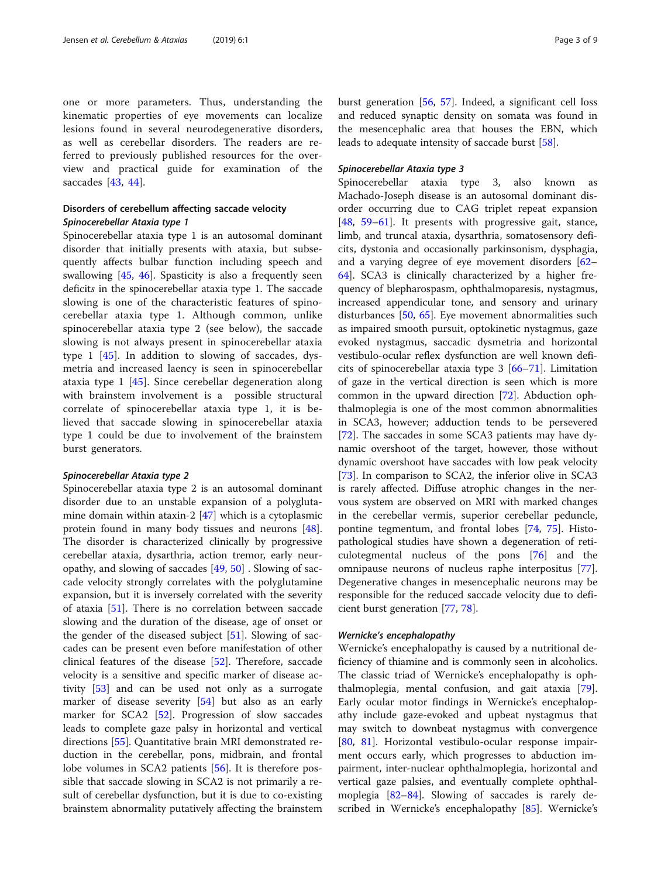one or more parameters. Thus, understanding the kinematic properties of eye movements can localize lesions found in several neurodegenerative disorders, as well as cerebellar disorders. The readers are referred to previously published resources for the overview and practical guide for examination of the saccades [\[43](#page-7-0), [44\]](#page-7-0).

#### Disorders of cerebellum affecting saccade velocity Spinocerebellar Ataxia type 1

Spinocerebellar ataxia type 1 is an autosomal dominant disorder that initially presents with ataxia, but subsequently affects bulbar function including speech and swallowing [[45,](#page-7-0) [46\]](#page-7-0). Spasticity is also a frequently seen deficits in the spinocerebellar ataxia type 1. The saccade slowing is one of the characteristic features of spinocerebellar ataxia type 1. Although common, unlike spinocerebellar ataxia type 2 (see below), the saccade slowing is not always present in spinocerebellar ataxia type 1 [[45\]](#page-7-0). In addition to slowing of saccades, dysmetria and increased laency is seen in spinocerebellar ataxia type 1 [\[45](#page-7-0)]. Since cerebellar degeneration along with brainstem involvement is a possible structural correlate of spinocerebellar ataxia type 1, it is believed that saccade slowing in spinocerebellar ataxia type 1 could be due to involvement of the brainstem burst generators.

#### Spinocerebellar Ataxia type 2

Spinocerebellar ataxia type 2 is an autosomal dominant disorder due to an unstable expansion of a polyglutamine domain within ataxin-2 [\[47](#page-7-0)] which is a cytoplasmic protein found in many body tissues and neurons [\[48](#page-7-0)]. The disorder is characterized clinically by progressive cerebellar ataxia, dysarthria, action tremor, early neuropathy, and slowing of saccades [[49,](#page-7-0) [50](#page-7-0)] . Slowing of saccade velocity strongly correlates with the polyglutamine expansion, but it is inversely correlated with the severity of ataxia [\[51\]](#page-7-0). There is no correlation between saccade slowing and the duration of the disease, age of onset or the gender of the diseased subject  $[51]$  $[51]$ . Slowing of saccades can be present even before manifestation of other clinical features of the disease [[52\]](#page-7-0). Therefore, saccade velocity is a sensitive and specific marker of disease activity [\[53\]](#page-7-0) and can be used not only as a surrogate marker of disease severity [[54](#page-7-0)] but also as an early marker for SCA2 [[52](#page-7-0)]. Progression of slow saccades leads to complete gaze palsy in horizontal and vertical directions [\[55\]](#page-7-0). Quantitative brain MRI demonstrated reduction in the cerebellar, pons, midbrain, and frontal lobe volumes in SCA2 patients [\[56](#page-7-0)]. It is therefore possible that saccade slowing in SCA2 is not primarily a result of cerebellar dysfunction, but it is due to co-existing brainstem abnormality putatively affecting the brainstem burst generation [[56](#page-7-0), [57\]](#page-7-0). Indeed, a significant cell loss and reduced synaptic density on somata was found in the mesencephalic area that houses the EBN, which leads to adequate intensity of saccade burst [[58](#page-7-0)].

#### Spinocerebellar Ataxia type 3

Spinocerebellar ataxia type 3, also known as Machado-Joseph disease is an autosomal dominant disorder occurring due to CAG triplet repeat expansion [[48,](#page-7-0) [59](#page-7-0)–[61\]](#page-7-0). It presents with progressive gait, stance, limb, and truncal ataxia, dysarthria, somatosensory deficits, dystonia and occasionally parkinsonism, dysphagia, and a varying degree of eye movement disorders [[62](#page-7-0)– [64\]](#page-7-0). SCA3 is clinically characterized by a higher frequency of blepharospasm, ophthalmoparesis, nystagmus, increased appendicular tone, and sensory and urinary disturbances [[50](#page-7-0), [65\]](#page-7-0). Eye movement abnormalities such as impaired smooth pursuit, optokinetic nystagmus, gaze evoked nystagmus, saccadic dysmetria and horizontal vestibulo-ocular reflex dysfunction are well known deficits of spinocerebellar ataxia type 3 [\[66](#page-7-0)–[71\]](#page-7-0). Limitation of gaze in the vertical direction is seen which is more common in the upward direction [[72\]](#page-7-0). Abduction ophthalmoplegia is one of the most common abnormalities in SCA3, however; adduction tends to be persevered [[72\]](#page-7-0). The saccades in some SCA3 patients may have dynamic overshoot of the target, however, those without dynamic overshoot have saccades with low peak velocity [[73\]](#page-7-0). In comparison to SCA2, the inferior olive in SCA3 is rarely affected. Diffuse atrophic changes in the nervous system are observed on MRI with marked changes in the cerebellar vermis, superior cerebellar peduncle, pontine tegmentum, and frontal lobes [[74,](#page-7-0) [75\]](#page-7-0). Histopathological studies have shown a degeneration of reticulotegmental nucleus of the pons [\[76](#page-7-0)] and the omnipause neurons of nucleus raphe interpositus [\[77](#page-7-0)]. Degenerative changes in mesencephalic neurons may be responsible for the reduced saccade velocity due to deficient burst generation [[77,](#page-7-0) [78\]](#page-7-0).

#### Wernicke's encephalopathy

Wernicke's encephalopathy is caused by a nutritional deficiency of thiamine and is commonly seen in alcoholics. The classic triad of Wernicke's encephalopathy is ophthalmoplegia, mental confusion, and gait ataxia [\[79](#page-7-0)]. Early ocular motor findings in Wernicke's encephalopathy include gaze-evoked and upbeat nystagmus that may switch to downbeat nystagmus with convergence [[80,](#page-7-0) [81](#page-7-0)]. Horizontal vestibulo-ocular response impairment occurs early, which progresses to abduction impairment, inter-nuclear ophthalmoplegia, horizontal and vertical gaze palsies, and eventually complete ophthalmoplegia [\[82](#page-7-0)–[84\]](#page-8-0). Slowing of saccades is rarely described in Wernicke's encephalopathy [[85](#page-8-0)]. Wernicke's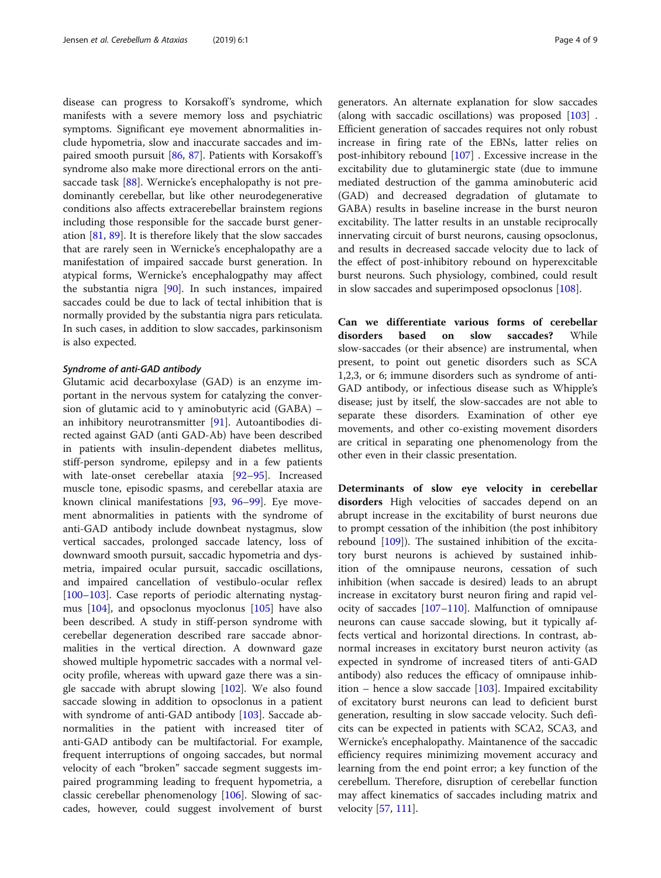disease can progress to Korsakoff's syndrome, which manifests with a severe memory loss and psychiatric symptoms. Significant eye movement abnormalities include hypometria, slow and inaccurate saccades and impaired smooth pursuit [[86,](#page-8-0) [87\]](#page-8-0). Patients with Korsakoff's syndrome also make more directional errors on the anti-saccade task [[88\]](#page-8-0). Wernicke's encephalopathy is not predominantly cerebellar, but like other neurodegenerative conditions also affects extracerebellar brainstem regions including those responsible for the saccade burst generation [[81](#page-7-0), [89](#page-8-0)]. It is therefore likely that the slow saccades that are rarely seen in Wernicke's encephalopathy are a manifestation of impaired saccade burst generation. In atypical forms, Wernicke's encephalogpathy may affect the substantia nigra [[90](#page-8-0)]. In such instances, impaired saccades could be due to lack of tectal inhibition that is normally provided by the substantia nigra pars reticulata. In such cases, in addition to slow saccades, parkinsonism is also expected.

#### Syndrome of anti-GAD antibody

Glutamic acid decarboxylase (GAD) is an enzyme important in the nervous system for catalyzing the conversion of glutamic acid to  $\gamma$  aminobutyric acid (GABA) – an inhibitory neurotransmitter [[91\]](#page-8-0). Autoantibodies directed against GAD (anti GAD-Ab) have been described in patients with insulin-dependent diabetes mellitus, stiff-person syndrome, epilepsy and in a few patients with late-onset cerebellar ataxia [[92](#page-8-0)–[95](#page-8-0)]. Increased muscle tone, episodic spasms, and cerebellar ataxia are known clinical manifestations [[93](#page-8-0), [96](#page-8-0)–[99](#page-8-0)]. Eye movement abnormalities in patients with the syndrome of anti-GAD antibody include downbeat nystagmus, slow vertical saccades, prolonged saccade latency, loss of downward smooth pursuit, saccadic hypometria and dysmetria, impaired ocular pursuit, saccadic oscillations, and impaired cancellation of vestibulo-ocular reflex [[100](#page-8-0)–[103](#page-8-0)]. Case reports of periodic alternating nystagmus  $[104]$  $[104]$ , and opsoclonus myoclonus  $[105]$  $[105]$  have also been described. A study in stiff-person syndrome with cerebellar degeneration described rare saccade abnormalities in the vertical direction. A downward gaze showed multiple hypometric saccades with a normal velocity profile, whereas with upward gaze there was a single saccade with abrupt slowing [\[102\]](#page-8-0). We also found saccade slowing in addition to opsoclonus in a patient with syndrome of anti-GAD antibody [\[103](#page-8-0)]. Saccade abnormalities in the patient with increased titer of anti-GAD antibody can be multifactorial. For example, frequent interruptions of ongoing saccades, but normal velocity of each "broken" saccade segment suggests impaired programming leading to frequent hypometria, a classic cerebellar phenomenology [[106](#page-8-0)]. Slowing of saccades, however, could suggest involvement of burst generators. An alternate explanation for slow saccades (along with saccadic oscillations) was proposed [[103\]](#page-8-0) . Efficient generation of saccades requires not only robust increase in firing rate of the EBNs, latter relies on post-inhibitory rebound [\[107](#page-8-0)] . Excessive increase in the excitability due to glutaminergic state (due to immune mediated destruction of the gamma aminobuteric acid (GAD) and decreased degradation of glutamate to GABA) results in baseline increase in the burst neuron excitability. The latter results in an unstable reciprocally innervating circuit of burst neurons, causing opsoclonus, and results in decreased saccade velocity due to lack of the effect of post-inhibitory rebound on hyperexcitable burst neurons. Such physiology, combined, could result in slow saccades and superimposed opsoclonus [\[108\]](#page-8-0).

Can we differentiate various forms of cerebellar disorders based on slow saccades? While slow-saccades (or their absence) are instrumental, when present, to point out genetic disorders such as SCA 1,2,3, or 6; immune disorders such as syndrome of anti-GAD antibody, or infectious disease such as Whipple's disease; just by itself, the slow-saccades are not able to separate these disorders. Examination of other eye movements, and other co-existing movement disorders are critical in separating one phenomenology from the other even in their classic presentation.

Determinants of slow eye velocity in cerebellar disorders High velocities of saccades depend on an abrupt increase in the excitability of burst neurons due to prompt cessation of the inhibition (the post inhibitory rebound [[109](#page-8-0)]). The sustained inhibition of the excitatory burst neurons is achieved by sustained inhibition of the omnipause neurons, cessation of such inhibition (when saccade is desired) leads to an abrupt increase in excitatory burst neuron firing and rapid velocity of saccades [[107](#page-8-0)–[110](#page-8-0)]. Malfunction of omnipause neurons can cause saccade slowing, but it typically affects vertical and horizontal directions. In contrast, abnormal increases in excitatory burst neuron activity (as expected in syndrome of increased titers of anti-GAD antibody) also reduces the efficacy of omnipause inhibition – hence a slow saccade [[103\]](#page-8-0). Impaired excitability of excitatory burst neurons can lead to deficient burst generation, resulting in slow saccade velocity. Such deficits can be expected in patients with SCA2, SCA3, and Wernicke's encephalopathy. Maintanence of the saccadic efficiency requires minimizing movement accuracy and learning from the end point error; a key function of the cerebellum. Therefore, disruption of cerebellar function may affect kinematics of saccades including matrix and velocity [[57,](#page-7-0) [111\]](#page-8-0).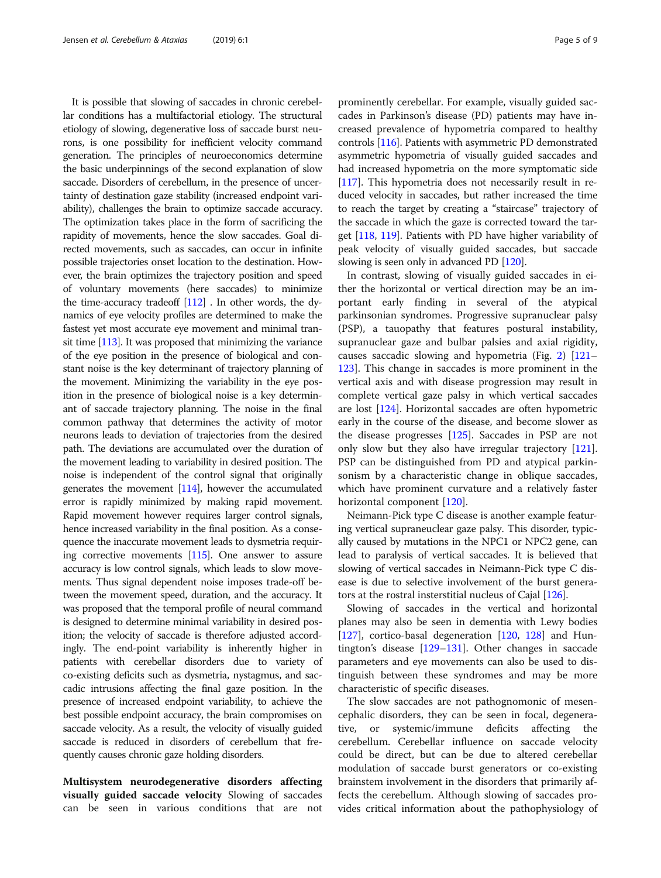It is possible that slowing of saccades in chronic cerebellar conditions has a multifactorial etiology. The structural etiology of slowing, degenerative loss of saccade burst neurons, is one possibility for inefficient velocity command generation. The principles of neuroeconomics determine the basic underpinnings of the second explanation of slow saccade. Disorders of cerebellum, in the presence of uncertainty of destination gaze stability (increased endpoint variability), challenges the brain to optimize saccade accuracy. The optimization takes place in the form of sacrificing the rapidity of movements, hence the slow saccades. Goal directed movements, such as saccades, can occur in infinite possible trajectories onset location to the destination. However, the brain optimizes the trajectory position and speed of voluntary movements (here saccades) to minimize the time-accuracy tradeoff [\[112\]](#page-8-0) . In other words, the dynamics of eye velocity profiles are determined to make the fastest yet most accurate eye movement and minimal transit time [\[113\]](#page-8-0). It was proposed that minimizing the variance of the eye position in the presence of biological and constant noise is the key determinant of trajectory planning of the movement. Minimizing the variability in the eye position in the presence of biological noise is a key determinant of saccade trajectory planning. The noise in the final common pathway that determines the activity of motor neurons leads to deviation of trajectories from the desired path. The deviations are accumulated over the duration of the movement leading to variability in desired position. The noise is independent of the control signal that originally generates the movement [\[114\]](#page-8-0), however the accumulated error is rapidly minimized by making rapid movement. Rapid movement however requires larger control signals, hence increased variability in the final position. As a consequence the inaccurate movement leads to dysmetria requiring corrective movements [[115\]](#page-8-0). One answer to assure accuracy is low control signals, which leads to slow movements. Thus signal dependent noise imposes trade-off between the movement speed, duration, and the accuracy. It was proposed that the temporal profile of neural command is designed to determine minimal variability in desired position; the velocity of saccade is therefore adjusted accordingly. The end-point variability is inherently higher in patients with cerebellar disorders due to variety of co-existing deficits such as dysmetria, nystagmus, and saccadic intrusions affecting the final gaze position. In the presence of increased endpoint variability, to achieve the best possible endpoint accuracy, the brain compromises on saccade velocity. As a result, the velocity of visually guided saccade is reduced in disorders of cerebellum that frequently causes chronic gaze holding disorders.

Multisystem neurodegenerative disorders affecting visually guided saccade velocity Slowing of saccades can be seen in various conditions that are not prominently cerebellar. For example, visually guided saccades in Parkinson's disease (PD) patients may have increased prevalence of hypometria compared to healthy controls [[116](#page-8-0)]. Patients with asymmetric PD demonstrated asymmetric hypometria of visually guided saccades and had increased hypometria on the more symptomatic side [[117](#page-8-0)]. This hypometria does not necessarily result in reduced velocity in saccades, but rather increased the time to reach the target by creating a "staircase" trajectory of the saccade in which the gaze is corrected toward the target [\[118,](#page-8-0) [119\]](#page-8-0). Patients with PD have higher variability of peak velocity of visually guided saccades, but saccade slowing is seen only in advanced PD [\[120\]](#page-8-0).

In contrast, slowing of visually guided saccades in either the horizontal or vertical direction may be an important early finding in several of the atypical parkinsonian syndromes. Progressive supranuclear palsy (PSP), a tauopathy that features postural instability, supranuclear gaze and bulbar palsies and axial rigidity, causes saccadic slowing and hypometria (Fig. [2\)](#page-5-0) [[121](#page-8-0)– [123](#page-8-0)]. This change in saccades is more prominent in the vertical axis and with disease progression may result in complete vertical gaze palsy in which vertical saccades are lost [\[124\]](#page-8-0). Horizontal saccades are often hypometric early in the course of the disease, and become slower as the disease progresses [\[125\]](#page-8-0). Saccades in PSP are not only slow but they also have irregular trajectory [[121](#page-8-0)]. PSP can be distinguished from PD and atypical parkinsonism by a characteristic change in oblique saccades, which have prominent curvature and a relatively faster horizontal component [[120\]](#page-8-0).

Neimann-Pick type C disease is another example featuring vertical supraneuclear gaze palsy. This disorder, typically caused by mutations in the NPC1 or NPC2 gene, can lead to paralysis of vertical saccades. It is believed that slowing of vertical saccades in Neimann-Pick type C disease is due to selective involvement of the burst generators at the rostral insterstitial nucleus of Cajal [\[126\]](#page-8-0).

Slowing of saccades in the vertical and horizontal planes may also be seen in dementia with Lewy bodies [[127\]](#page-8-0), cortico-basal degeneration [[120](#page-8-0), [128](#page-8-0)] and Huntington's disease [[129](#page-8-0)–[131\]](#page-8-0). Other changes in saccade parameters and eye movements can also be used to distinguish between these syndromes and may be more characteristic of specific diseases.

The slow saccades are not pathognomonic of mesencephalic disorders, they can be seen in focal, degenerative, or systemic/immune deficits affecting the cerebellum. Cerebellar influence on saccade velocity could be direct, but can be due to altered cerebellar modulation of saccade burst generators or co-existing brainstem involvement in the disorders that primarily affects the cerebellum. Although slowing of saccades provides critical information about the pathophysiology of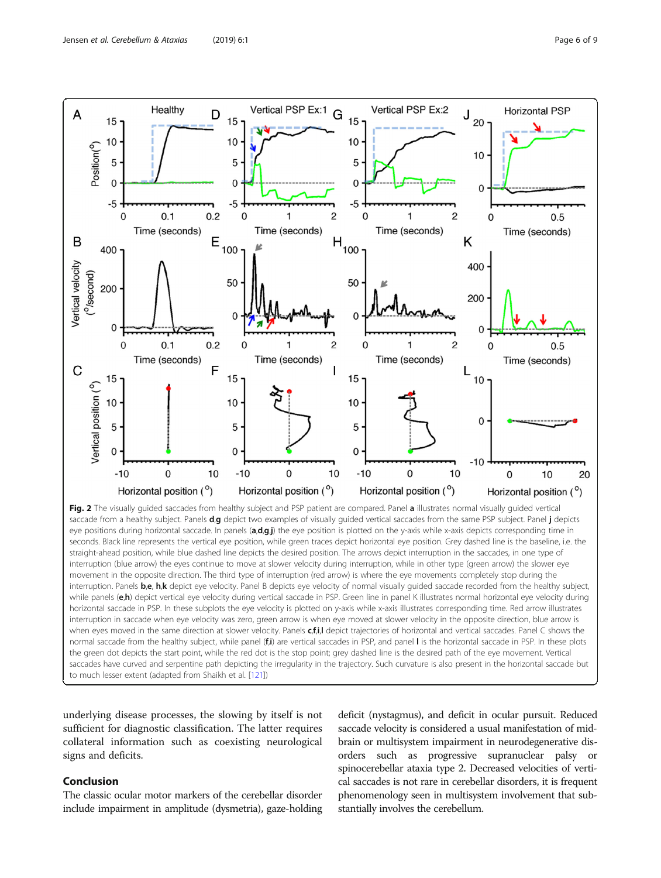<span id="page-5-0"></span>

Fig. 2 The visually guided saccades from healthy subject and PSP patient are compared. Panel a illustrates normal visually guided vertical saccade from a healthy subject. Panels d,g depict two examples of visually guided vertical saccades from the same PSP subject. Panel j depicts eye positions during horizontal saccade. In panels  $(a,d,g,j)$  the eye position is plotted on the y-axis while x-axis depicts corresponding time in seconds. Black line represents the vertical eye position, while green traces depict horizontal eye position. Grey dashed line is the baseline, i.e. the straight-ahead position, while blue dashed line depicts the desired position. The arrows depict interruption in the saccades, in one type of interruption (blue arrow) the eyes continue to move at slower velocity during interruption, while in other type (green arrow) the slower eye movement in the opposite direction. The third type of interruption (red arrow) is where the eye movements completely stop during the interruption. Panels b,e, h,k depict eye velocity. Panel B depicts eye velocity of normal visually guided saccade recorded from the healthy subject, while panels (e,h) depict vertical eye velocity during vertical saccade in PSP. Green line in panel K illustrates normal horizontal eye velocity during horizontal saccade in PSP. In these subplots the eye velocity is plotted on y-axis while x-axis illustrates corresponding time. Red arrow illustrates interruption in saccade when eye velocity was zero, green arrow is when eye moved at slower velocity in the opposite direction, blue arrow is when eyes moved in the same direction at slower velocity. Panels cfi,il depict trajectories of horizontal and vertical saccades. Panel C shows the normal saccade from the healthy subject, while panel (f,i) are vertical saccades in PSP, and panel I is the horizontal saccade in PSP. In these plots the green dot depicts the start point, while the red dot is the stop point; grey dashed line is the desired path of the eye movement. Vertical saccades have curved and serpentine path depicting the irregularity in the trajectory. Such curvature is also present in the horizontal saccade but to much lesser extent (adapted from Shaikh et al. [[121](#page-8-0)])

underlying disease processes, the slowing by itself is not sufficient for diagnostic classification. The latter requires collateral information such as coexisting neurological signs and deficits.

#### Conclusion

The classic ocular motor markers of the cerebellar disorder include impairment in amplitude (dysmetria), gaze-holding

deficit (nystagmus), and deficit in ocular pursuit. Reduced saccade velocity is considered a usual manifestation of midbrain or multisystem impairment in neurodegenerative disorders such as progressive supranuclear palsy or spinocerebellar ataxia type 2. Decreased velocities of vertical saccades is not rare in cerebellar disorders, it is frequent phenomenology seen in multisystem involvement that substantially involves the cerebellum.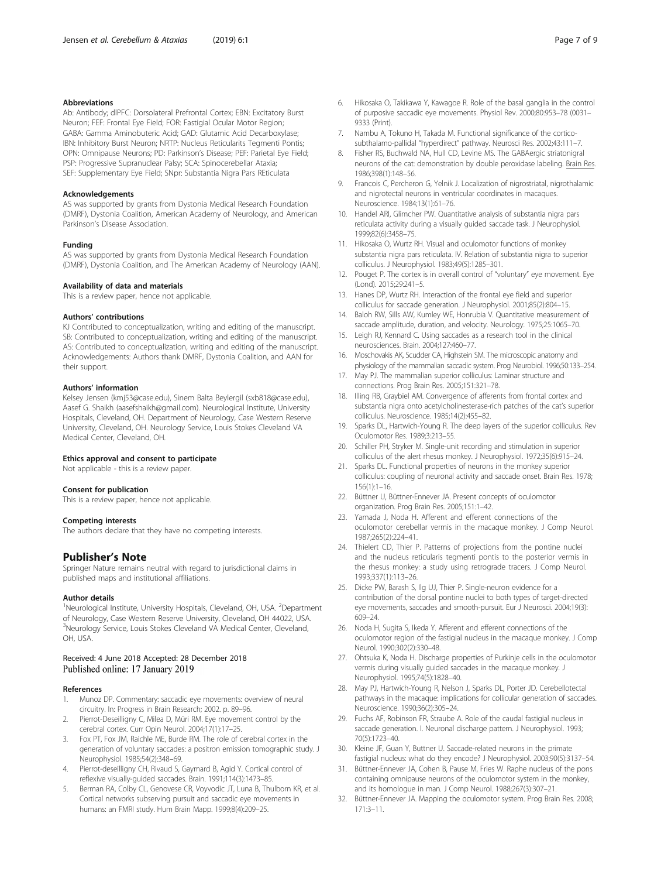#### <span id="page-6-0"></span>Abbreviations

Ab: Antibody; dlPFC: Dorsolateral Prefrontal Cortex; EBN: Excitatory Burst Neuron; FEF: Frontal Eye Field; FOR: Fastigial Ocular Motor Region; GABA: Gamma Aminobuteric Acid; GAD: Glutamic Acid Decarboxylase; IBN: Inhibitory Burst Neuron; NRTP: Nucleus Reticularits Tegmenti Pontis; OPN: Omnipause Neurons; PD: Parkinson's Disease; PEF: Parietal Eye Field; PSP: Progressive Supranuclear Palsy; SCA: Spinocerebellar Ataxia; SEF: Supplementary Eye Field; SNpr: Substantia Nigra Pars REticulata

#### Acknowledgements

AS was supported by grants from Dystonia Medical Research Foundation (DMRF), Dystonia Coalition, American Academy of Neurology, and American Parkinson's Disease Association.

#### Funding

AS was supported by grants from Dystonia Medical Research Foundation (DMRF), Dystonia Coalition, and The American Academy of Neurology (AAN).

#### Availability of data and materials

This is a review paper, hence not applicable.

#### Authors' contributions

KJ Contributed to conceptualization, writing and editing of the manuscript. SB: Contributed to conceptualization, writing and editing of the manuscript. AS: Contributed to conceptualization, writing and editing of the manuscript. Acknowledgements: Authors thank DMRF, Dystonia Coalition, and AAN for their support.

#### Authors' information

Kelsey Jensen (kmj53@case.edu), Sinem Balta Beylergil (sxb818@case.edu), Aasef G. Shaikh (aasefshaikh@gmail.com). Neurological Institute, University Hospitals, Cleveland, OH. Department of Neurology, Case Western Reserve University, Cleveland, OH. Neurology Service, Louis Stokes Cleveland VA Medical Center, Cleveland, OH.

#### Ethics approval and consent to participate

Not applicable - this is a review paper.

#### Consent for publication

This is a review paper, hence not applicable.

#### Competing interests

The authors declare that they have no competing interests.

#### Publisher's Note

Springer Nature remains neutral with regard to jurisdictional claims in published maps and institutional affiliations.

#### Author details

<sup>1</sup>Neurological Institute, University Hospitals, Cleveland, OH, USA. <sup>2</sup>Department of Neurology, Case Western Reserve University, Cleveland, OH 44022, USA. <sup>3</sup>Neurology Service, Louis Stokes Cleveland VA Medical Center, Cleveland, OH, USA.

#### Received: 4 June 2018 Accepted: 28 December 2018 Published online: 17 January 2019

#### References

- 1. Munoz DP. Commentary: saccadic eye movements: overview of neural circuitry. In: Progress in Brain Research; 2002. p. 89–96.
- Pierrot-Deseilligny C, Milea D, Müri RM. Eye movement control by the cerebral cortex. Curr Opin Neurol. 2004;17(1):17–25.
- 3. Fox PT, Fox JM, Raichle ME, Burde RM. The role of cerebral cortex in the generation of voluntary saccades: a positron emission tomographic study. J Neurophysiol. 1985;54(2):348–69.
- 4. Pierrot-deseilligny CH, Rivaud S, Gaymard B, Agid Y. Cortical control of reflexive visually-guided saccades. Brain. 1991;114(3):1473–85.
- 5. Berman RA, Colby CL, Genovese CR, Voyvodic JT, Luna B, Thulborn KR, et al. Cortical networks subserving pursuit and saccadic eye movements in humans: an FMRI study. Hum Brain Mapp. 1999;8(4):209–25.
- 6. Hikosaka O, Takikawa Y, Kawagoe R. Role of the basal ganglia in the control of purposive saccadic eye movements. Physiol Rev. 2000;80:953–78 (0031– 9333 (Print).
- 7. Nambu A, Tokuno H, Takada M. Functional significance of the corticosubthalamo-pallidal "hyperdirect" pathway. Neurosci Res. 2002;43:111–7.
- 8. Fisher RS, Buchwald NA, Hull CD, Levine MS. The GABAergic striatonigral neurons of the cat: demonstration by double peroxidase labeling. Brain Res. 1986;398(1):148–56.
- 9. Francois C, Percheron G, Yelnik J. Localization of nigrostriatal, nigrothalamic and nigrotectal neurons in ventricular coordinates in macaques. Neuroscience. 1984;13(1):61–76.
- 10. Handel ARI, Glimcher PW. Quantitative analysis of substantia nigra pars reticulata activity during a visually guided saccade task. J Neurophysiol. 1999;82(6):3458–75.
- 11. Hikosaka O, Wurtz RH. Visual and oculomotor functions of monkey substantia nigra pars reticulata. IV. Relation of substantia nigra to superior colliculus. J Neurophysiol. 1983;49(5):1285–301.
- 12. Pouget P. The cortex is in overall control of "voluntary" eye movement. Eye (Lond). 2015;29:241–5.
- 13. Hanes DP, Wurtz RH. Interaction of the frontal eye field and superior colliculus for saccade generation. J Neurophysiol. 2001;85(2):804–15.
- 14. Baloh RW, Sills AW, Kumley WE, Honrubia V. Quantitative measurement of saccade amplitude, duration, and velocity. Neurology. 1975;25:1065–70.
- 15. Leigh RJ, Kennard C. Using saccades as a research tool in the clinical neurosciences. Brain. 2004;127:460–77.
- 16. Moschovakis AK, Scudder CA, Highstein SM. The microscopic anatomy and physiology of the mammalian saccadic system. Prog Neurobiol. 1996;50:133–254.
- 17. May PJ. The mammalian superior colliculus: Laminar structure and connections. Prog Brain Res. 2005;151:321–78.
- 18. Illing RB, Graybiel AM. Convergence of afferents from frontal cortex and substantia nigra onto acetylcholinesterase-rich patches of the cat's superior colliculus. Neuroscience. 1985;14(2):455–82.
- 19. Sparks DL, Hartwich-Young R. The deep layers of the superior colliculus. Rev Oculomotor Res. 1989;3:213–55.
- 20. Schiller PH, Stryker M. Single-unit recording and stimulation in superior colliculus of the alert rhesus monkey. J Neurophysiol. 1972;35(6):915–24.
- 21. Sparks DL. Functional properties of neurons in the monkey superior colliculus: coupling of neuronal activity and saccade onset. Brain Res. 1978; 156(1):1–16.
- 22. Büttner U, Büttner-Ennever JA. Present concepts of oculomotor organization. Prog Brain Res. 2005;151:1–42.
- 23. Yamada J, Noda H. Afferent and efferent connections of the oculomotor cerebellar vermis in the macaque monkey. J Comp Neurol. 1987;265(2):224–41.
- 24. Thielert CD, Thier P. Patterns of projections from the pontine nuclei and the nucleus reticularis tegmenti pontis to the posterior vermis in the rhesus monkey: a study using retrograde tracers. J Comp Neurol. 1993;337(1):113–26.
- 25. Dicke PW, Barash S, Ilg UJ, Thier P. Single-neuron evidence for a contribution of the dorsal pontine nuclei to both types of target-directed eye movements, saccades and smooth-pursuit. Eur J Neurosci. 2004;19(3): 609–24.
- 26. Noda H, Sugita S, Ikeda Y. Afferent and efferent connections of the oculomotor region of the fastigial nucleus in the macaque monkey. J Comp Neurol. 1990;302(2):330–48.
- 27. Ohtsuka K, Noda H. Discharge properties of Purkinje cells in the oculomotor vermis during visually guided saccades in the macaque monkey. J Neurophysiol. 1995;74(5):1828–40.
- 28. May PJ, Hartwich-Young R, Nelson J, Sparks DL, Porter JD. Cerebellotectal pathways in the macaque: implications for collicular generation of saccades. .<br>Neuroscience. 1990;36(2):305–24.
- 29. Fuchs AF, Robinson FR, Straube A. Role of the caudal fastigial nucleus in saccade generation. I. Neuronal discharge pattern. J Neurophysiol. 1993; 70(5):1723–40.
- 30. Kleine JF, Guan Y, Buttner U. Saccade-related neurons in the primate fastigial nucleus: what do they encode? J Neurophysiol. 2003;90(5):3137–54.
- 31. Büttner-Ennever JA, Cohen B, Pause M, Fries W. Raphe nucleus of the pons containing omnipause neurons of the oculomotor system in the monkey, and its homologue in man. J Comp Neurol. 1988;267(3):307–21.
- 32. Büttner-Ennever JA. Mapping the oculomotor system. Prog Brain Res. 2008; 171:3–11.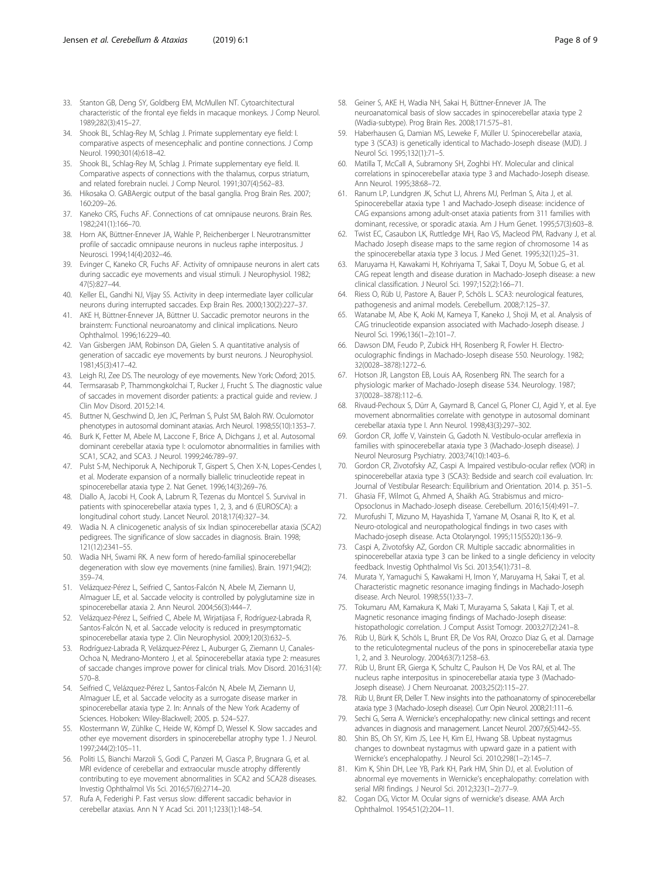- <span id="page-7-0"></span>33. Stanton GB, Deng SY, Goldberg EM, McMullen NT. Cytoarchitectural characteristic of the frontal eye fields in macaque monkeys. J Comp Neurol. 1989;282(3):415–27.
- 34. Shook BL, Schlag-Rey M, Schlag J. Primate supplementary eye field: I. comparative aspects of mesencephalic and pontine connections. J Comp Neurol. 1990;301(4):618–42.
- 35. Shook BL, Schlag-Rey M, Schlag J. Primate supplementary eye field. II. Comparative aspects of connections with the thalamus, corpus striatum, and related forebrain nuclei. J Comp Neurol. 1991;307(4):562–83.
- 36. Hikosaka O. GABAergic output of the basal ganglia. Prog Brain Res. 2007; 160:209–26.
- 37. Kaneko CRS, Fuchs AF. Connections of cat omnipause neurons. Brain Res. 1982;241(1):166–70.
- 38. Horn AK, Büttner-Ennever JA, Wahle P, Reichenberger I. Neurotransmitter profile of saccadic omnipause neurons in nucleus raphe interpositus. J Neurosci. 1994;14(4):2032–46.
- 39. Evinger C, Kaneko CR, Fuchs AF. Activity of omnipause neurons in alert cats during saccadic eye movements and visual stimuli. J Neurophysiol. 1982; 47(5):827–44.
- 40. Keller EL, Gandhi NJ, Vijay SS. Activity in deep intermediate layer collicular neurons during interrupted saccades. Exp Brain Res. 2000;130(2):227–37.
- 41. AKE H, Büttner-Ennever JA, Büttner U. Saccadic premotor neurons in the brainstem: Functional neuroanatomy and clinical implications. Neuro Ophthalmol. 1996;16:229–40.
- 42. Van Gisbergen JAM, Robinson DA, Gielen S. A quantitative analysis of generation of saccadic eye movements by burst neurons. J Neurophysiol. 1981;45(3):417–42.
- 43. Leigh RJ, Zee DS. The neurology of eye movements. New York: Oxford; 2015.
- 44. Termsarasab P, Thammongkolchai T, Rucker J, Frucht S. The diagnostic value of saccades in movement disorder patients: a practical guide and review. J Clin Mov Disord. 2015;2:14.
- 45. Buttner N, Geschwind D, Jen JC, Perlman S, Pulst SM, Baloh RW. Oculomotor phenotypes in autosomal dominant ataxias. Arch Neurol. 1998;55(10):1353–7.
- 46. Burk K, Fetter M, Abele M, Laccone F, Brice A, Dichgans J, et al. Autosomal dominant cerebellar ataxia type I: oculomotor abnormalities in families with SCA1, SCA2, and SCA3. J Neurol. 1999;246:789–97.
- 47. Pulst S-M, Nechiporuk A, Nechiporuk T, Gispert S, Chen X-N, Lopes-Cendes I, et al. Moderate expansion of a normally biallelic trinucleotide repeat in spinocerebellar ataxia type 2. Nat Genet. 1996;14(3):269–76.
- 48. Diallo A, Jacobi H, Cook A, Labrum R, Tezenas du Montcel S. Survival in patients with spinocerebellar ataxia types 1, 2, 3, and 6 (EUROSCA): a longitudinal cohort study. Lancet Neurol. 2018;17(4):327–34.
- 49. Wadia N. A clinicogenetic analysis of six Indian spinocerebellar ataxia (SCA2) pedigrees. The significance of slow saccades in diagnosis. Brain. 1998; 121(12):2341–55.
- 50. Wadia NH, Swami RK. A new form of heredo-familial spinocerebellar degeneration with slow eye movements (nine families). Brain. 1971;94(2): 359–74.
- 51. Velázquez-Pérez L, Seifried C, Santos-Falcón N, Abele M, Ziemann U, Almaguer LE, et al. Saccade velocity is controlled by polyglutamine size in spinocerebellar ataxia 2. Ann Neurol. 2004;56(3):444–7.
- 52. Velázquez-Pérez L, Seifried C, Abele M, Wirjatijasa F, Rodríguez-Labrada R, Santos-Falcón N, et al. Saccade velocity is reduced in presymptomatic spinocerebellar ataxia type 2. Clin Neurophysiol. 2009;120(3):632–5.
- 53. Rodríguez-Labrada R, Velázquez-Pérez L, Auburger G, Ziemann U, Canales-Ochoa N, Medrano-Montero J, et al. Spinocerebellar ataxia type 2: measures of saccade changes improve power for clinical trials. Mov Disord. 2016;31(4): 570–8.
- 54. Seifried C, Velázquez-Pérez L, Santos-Falcón N, Abele M, Ziemann U, Almaguer LE, et al. Saccade velocity as a surrogate disease marker in spinocerebellar ataxia type 2. In: Annals of the New York Academy of Sciences. Hoboken: Wiley-Blackwell; 2005. p. 524–527.
- 55. Klostermann W, Zühlke C, Heide W, Kömpf D, Wessel K. Slow saccades and other eye movement disorders in spinocerebellar atrophy type 1. J Neurol. 1997;244(2):105–11.
- 56. Politi LS, Bianchi Marzoli S, Godi C, Panzeri M, Ciasca P, Brugnara G, et al. MRI evidence of cerebellar and extraocular muscle atrophy differently contributing to eye movement abnormalities in SCA2 and SCA28 diseases. Investig Ophthalmol Vis Sci. 2016;57(6):2714–20.
- 57. Rufa A, Federighi P. Fast versus slow: different saccadic behavior in cerebellar ataxias. Ann N Y Acad Sci. 2011;1233(1):148–54.
- 58. Geiner S, AKE H, Wadia NH, Sakai H, Büttner-Ennever JA. The neuroanatomical basis of slow saccades in spinocerebellar ataxia type 2 (Wadia-subtype). Prog Brain Res. 2008;171:575–81.
- 59. Haberhausen G, Damian MS, Leweke F, Müller U. Spinocerebellar ataxia, type 3 (SCA3) is genetically identical to Machado-Joseph disease (MJD). J Neurol Sci. 1995;132(1):71–5.
- 60. Matilla T, McCall A, Subramony SH, Zoghbi HY. Molecular and clinical correlations in spinocerebellar ataxia type 3 and Machado-Joseph disease. Ann Neurol. 1995;38:68–72.
- 61. Ranum LP, Lundgren JK, Schut LJ, Ahrens MJ, Perlman S, Aita J, et al. Spinocerebellar ataxia type 1 and Machado-Joseph disease: incidence of CAG expansions among adult-onset ataxia patients from 311 families with dominant, recessive, or sporadic ataxia. Am J Hum Genet. 1995;57(3):603–8.
- 62. Twist EC, Casaubon LK, Ruttledge MH, Rao VS, Macleod PM, Radvany J, et al. Machado Joseph disease maps to the same region of chromosome 14 as the spinocerebellar ataxia type 3 locus. J Med Genet. 1995;32(1):25–31.
- 63. Maruyama H, Kawakami H, Kohriyama T, Sakai T, Doyu M, Sobue G, et al. CAG repeat length and disease duration in Machado-Joseph disease: a new clinical classification. J Neurol Sci. 1997;152(2):166–71.
- 64. Riess O, Rüb U, Pastore A, Bauer P, Schöls L. SCA3: neurological features, pathogenesis and animal models. Cerebellum. 2008;7:125–37.
- 65. Watanabe M, Abe K, Aoki M, Kameya T, Kaneko J, Shoji M, et al. Analysis of CAG trinucleotide expansion associated with Machado-Joseph disease. J Neurol Sci. 1996;136(1–2):101–7.
- 66. Dawson DM, Feudo P, Zubick HH, Rosenberg R, Fowler H. Electrooculographic findings in Machado-Joseph disease 550. Neurology. 1982; 32(0028–3878):1272–6.
- 67. Hotson JR, Langston EB, Louis AA, Rosenberg RN. The search for a physiologic marker of Machado-Joseph disease 534. Neurology. 1987; 37(0028–3878):112–6.
- 68. Rivaud-Pechoux S, Dürr A, Gaymard B, Cancel G, Ploner CJ, Agid Y, et al. Eye movement abnormalities correlate with genotype in autosomal dominant cerebellar ataxia type I. Ann Neurol. 1998;43(3):297–302.
- 69. Gordon CR, Joffe V, Vainstein G, Gadoth N. Vestibulo-ocular arreflexia in families with spinocerebellar ataxia type 3 (Machado-Joseph disease). J Neurol Neurosurg Psychiatry. 2003;74(10):1403–6.
- 70. Gordon CR, Zivotofsky AZ, Caspi A. Impaired vestibulo-ocular reflex (VOR) in spinocerebellar ataxia type 3 (SCA3): Bedside and search coil evaluation. In: Journal of Vestibular Research: Equilibrium and Orientation. 2014. p. 351–5.
- 71. Ghasia FF, Wilmot G, Ahmed A, Shaikh AG. Strabismus and micro-Opsoclonus in Machado-Joseph disease. Cerebellum. 2016;15(4):491–7.
- 72. Murofushi T, Mizuno M, Hayashida T, Yamane M, Osanai R, Ito K, et al. Neuro-otological and neuropathological findings in two cases with Machado-joseph disease. Acta Otolaryngol. 1995;115(S520):136–9.
- 73. Caspi A, Zivotofsky AZ, Gordon CR. Multiple saccadic abnormalities in spinocerebellar ataxia type 3 can be linked to a single deficiency in velocity feedback. Investig Ophthalmol Vis Sci. 2013;54(1):731–8.
- 74. Murata Y, Yamaguchi S, Kawakami H, Imon Y, Maruyama H, Sakai T, et al. Characteristic magnetic resonance imaging findings in Machado-Joseph disease. Arch Neurol. 1998;55(1):33–7.
- 75. Tokumaru AM, Kamakura K, Maki T, Murayama S, Sakata I, Kaji T, et al. Magnetic resonance imaging findings of Machado-Joseph disease: histopathologic correlation. J Comput Assist Tomogr. 2003;27(2):241–8.
- 76. Rüb U, Bürk K, Schöls L, Brunt ER, De Vos RAI, Orozco Diaz G, et al. Damage to the reticulotegmental nucleus of the pons in spinocerebellar ataxia type 1, 2, and 3. Neurology. 2004;63(7):1258–63.
- 77. Rüb U, Brunt ER, Gierga K, Schultz C, Paulson H, De Vos RAI, et al. The nucleus raphe interpositus in spinocerebellar ataxia type 3 (Machado-Joseph disease). J Chem Neuroanat. 2003;25(2):115–27.
- 78. Rüb U, Brunt ER, Deller T. New insights into the pathoanatomy of spinocerebellar ataxia type 3 (Machado-Joseph disease). Curr Opin Neurol. 2008;21:111–6.
- 79. Sechi G, Serra A. Wernicke's encephalopathy: new clinical settings and recent advances in diagnosis and management. Lancet Neurol. 2007;6(5):442–55.
- 80. Shin BS, Oh SY, Kim JS, Lee H, Kim EJ, Hwang SB. Upbeat nystagmus changes to downbeat nystagmus with upward gaze in a patient with Wernicke's encephalopathy. J Neurol Sci. 2010;298(1–2):145–7.
- 81. Kim K, Shin DH, Lee YB, Park KH, Park HM, Shin DJ, et al. Evolution of abnormal eye movements in Wernicke's encephalopathy: correlation with serial MRI findings. J Neurol Sci. 2012;323(1–2):77–9.
- 82. Cogan DG, Victor M. Ocular signs of wernicke's disease. AMA Arch Ophthalmol. 1954;51(2):204–11.